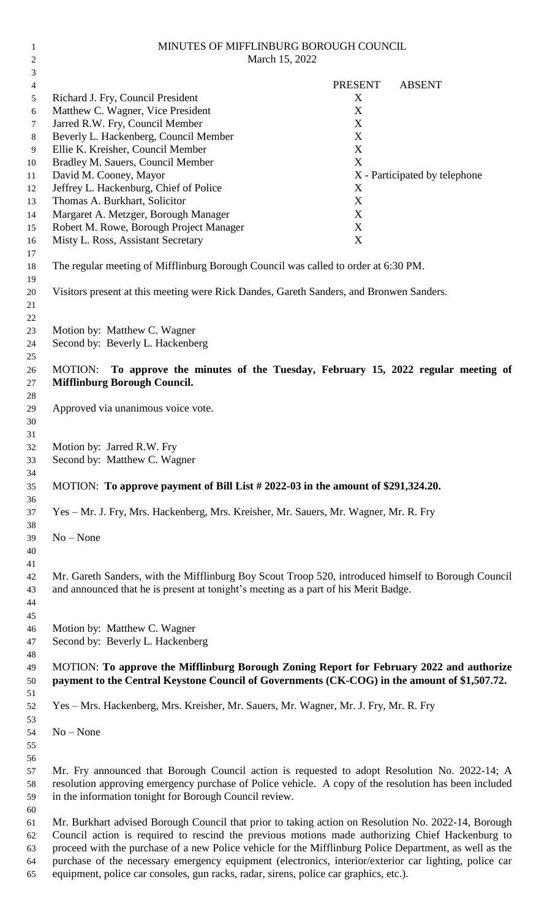| 2        | March 15, 2022                                                                                                                                                                           |                |                               |
|----------|------------------------------------------------------------------------------------------------------------------------------------------------------------------------------------------|----------------|-------------------------------|
| 3        |                                                                                                                                                                                          |                |                               |
| 4        |                                                                                                                                                                                          | <b>PRESENT</b> | <b>ABSENT</b>                 |
| 5        | Richard J. Fry, Council President                                                                                                                                                        | X              |                               |
| 6        | Matthew C. Wagner, Vice President<br>Jarred R.W. Fry, Council Member                                                                                                                     | X<br>X         |                               |
| 7<br>8   | Beverly L. Hackenberg, Council Member                                                                                                                                                    | X              |                               |
| 9        | Ellie K. Kreisher, Council Member                                                                                                                                                        | $\mathbf X$    |                               |
| 10       | Bradley M. Sauers, Council Member                                                                                                                                                        | $\mathbf X$    |                               |
| 11       | David M. Cooney, Mayor                                                                                                                                                                   |                | X - Participated by telephone |
| 12       | Jeffrey L. Hackenburg, Chief of Police                                                                                                                                                   | X              |                               |
| 13       | Thomas A. Burkhart, Solicitor                                                                                                                                                            | X              |                               |
| 14       | Margaret A. Metzger, Borough Manager                                                                                                                                                     | X              |                               |
| 15       | Robert M. Rowe, Borough Project Manager                                                                                                                                                  | X              |                               |
| 16       | Misty L. Ross, Assistant Secretary                                                                                                                                                       | X              |                               |
| 17       |                                                                                                                                                                                          |                |                               |
| 18       | The regular meeting of Mifflinburg Borough Council was called to order at 6:30 PM.                                                                                                       |                |                               |
| 19<br>20 | Visitors present at this meeting were Rick Dandes, Gareth Sanders, and Bronwen Sanders.                                                                                                  |                |                               |
| 21       |                                                                                                                                                                                          |                |                               |
| 22       |                                                                                                                                                                                          |                |                               |
| 23       | Motion by: Matthew C. Wagner                                                                                                                                                             |                |                               |
| 24       | Second by: Beverly L. Hackenberg                                                                                                                                                         |                |                               |
| 25       |                                                                                                                                                                                          |                |                               |
| 26       | To approve the minutes of the Tuesday, February 15, 2022 regular meeting of<br>MOTION:                                                                                                   |                |                               |
| 27       | <b>Mifflinburg Borough Council.</b>                                                                                                                                                      |                |                               |
| 28       |                                                                                                                                                                                          |                |                               |
| 29<br>30 | Approved via unanimous voice vote.                                                                                                                                                       |                |                               |
| 31       |                                                                                                                                                                                          |                |                               |
| 32       | Motion by: Jarred R.W. Fry                                                                                                                                                               |                |                               |
| 33       | Second by: Matthew C. Wagner                                                                                                                                                             |                |                               |
| 34       |                                                                                                                                                                                          |                |                               |
| 35       | MOTION: To approve payment of Bill List # 2022-03 in the amount of \$291,324.20.                                                                                                         |                |                               |
| 36       |                                                                                                                                                                                          |                |                               |
| 37       | Yes - Mr. J. Fry, Mrs. Hackenberg, Mrs. Kreisher, Mr. Sauers, Mr. Wagner, Mr. R. Fry                                                                                                     |                |                               |
| 38       |                                                                                                                                                                                          |                |                               |
| 39<br>40 | $No - None$                                                                                                                                                                              |                |                               |
| 41       |                                                                                                                                                                                          |                |                               |
| 42       | Mr. Gareth Sanders, with the Mifflinburg Boy Scout Troop 520, introduced himself to Borough Council                                                                                      |                |                               |
| 43       | and announced that he is present at tonight's meeting as a part of his Merit Badge.                                                                                                      |                |                               |
| 44       |                                                                                                                                                                                          |                |                               |
| 45       |                                                                                                                                                                                          |                |                               |
| 46       | Motion by: Matthew C. Wagner                                                                                                                                                             |                |                               |
| 47       | Second by: Beverly L. Hackenberg                                                                                                                                                         |                |                               |
| 48       |                                                                                                                                                                                          |                |                               |
| 49<br>50 | MOTION: To approve the Mifflinburg Borough Zoning Report for February 2022 and authorize<br>payment to the Central Keystone Council of Governments (CK-COG) in the amount of \$1,507.72. |                |                               |
| 51       |                                                                                                                                                                                          |                |                               |
| 52       | Yes - Mrs. Hackenberg, Mrs. Kreisher, Mr. Sauers, Mr. Wagner, Mr. J. Fry, Mr. R. Fry                                                                                                     |                |                               |
| 53       |                                                                                                                                                                                          |                |                               |
| 54       | $No - None$                                                                                                                                                                              |                |                               |
| 55       |                                                                                                                                                                                          |                |                               |
| 56       |                                                                                                                                                                                          |                |                               |
| 57       | Mr. Fry announced that Borough Council action is requested to adopt Resolution No. 2022-14; A                                                                                            |                |                               |
| 58       | resolution approving emergency purchase of Police vehicle. A copy of the resolution has been included                                                                                    |                |                               |
| 59       | in the information tonight for Borough Council review.                                                                                                                                   |                |                               |
| 60       | Mr. Burkhart advised Borough Council that prior to taking action on Resolution No. 2022-14, Borough                                                                                      |                |                               |
| 61<br>62 | Council action is required to rescind the previous motions made authorizing Chief Hackenburg to                                                                                          |                |                               |
| 63       | proceed with the purchase of a new Police vehicle for the Mifflinburg Police Department, as well as the                                                                                  |                |                               |
| 64       | purchase of the necessary emergency equipment (electronics, interior/exterior car lighting, police car                                                                                   |                |                               |
| 65       | equipment, police car consoles, gun racks, radar, sirens, police car graphics, etc.).                                                                                                    |                |                               |

MINUTES OF MIFFLINBURG BOROUGH COUNCIL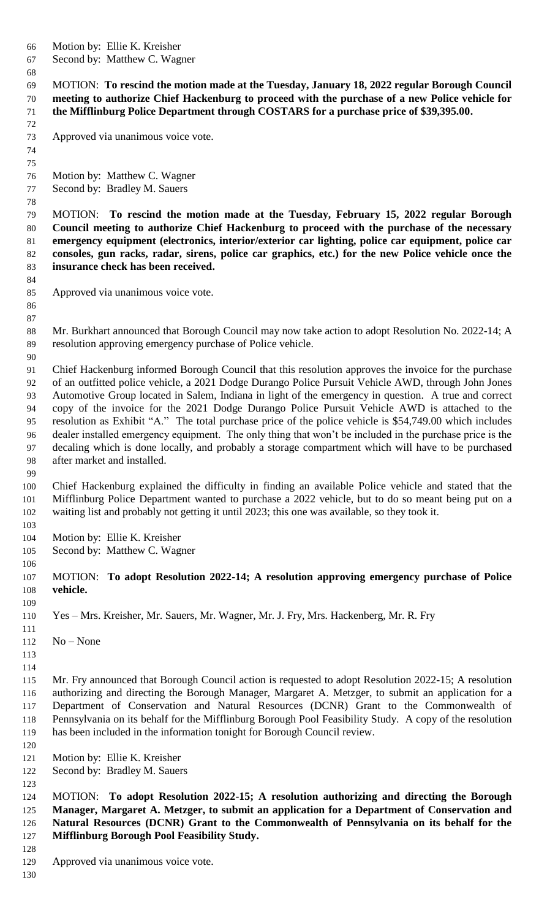- Motion by: Ellie K. Kreisher
- Second by: Matthew C. Wagner

 MOTION: **To rescind the motion made at the Tuesday, January 18, 2022 regular Borough Council meeting to authorize Chief Hackenburg to proceed with the purchase of a new Police vehicle for the Mifflinburg Police Department through COSTARS for a purchase price of \$39,395.00.**

- Approved via unanimous voice vote.
- Motion by: Matthew C. Wagner
- Second by: Bradley M. Sauers

 MOTION: **To rescind the motion made at the Tuesday, February 15, 2022 regular Borough Council meeting to authorize Chief Hackenburg to proceed with the purchase of the necessary emergency equipment (electronics, interior/exterior car lighting, police car equipment, police car consoles, gun racks, radar, sirens, police car graphics, etc.) for the new Police vehicle once the insurance check has been received.**

- Approved via unanimous voice vote.
- 

- 88 Mr. Burkhart announced that Borough Council may now take action to adopt Resolution No. 2022-14; A resolution approving emergency purchase of Police vehicle.
- Chief Hackenburg informed Borough Council that this resolution approves the invoice for the purchase of an outfitted police vehicle, a 2021 Dodge Durango Police Pursuit Vehicle AWD, through John Jones Automotive Group located in Salem, Indiana in light of the emergency in question. A true and correct copy of the invoice for the 2021 Dodge Durango Police Pursuit Vehicle AWD is attached to the resolution as Exhibit "A." The total purchase price of the police vehicle is \$54,749.00 which includes dealer installed emergency equipment. The only thing that won't be included in the purchase price is the decaling which is done locally, and probably a storage compartment which will have to be purchased after market and installed.
- Chief Hackenburg explained the difficulty in finding an available Police vehicle and stated that the Mifflinburg Police Department wanted to purchase a 2022 vehicle, but to do so meant being put on a waiting list and probably not getting it until 2023; this one was available, so they took it.
- Motion by: Ellie K. Kreisher
- Second by: Matthew C. Wagner
- 
- MOTION: **To adopt Resolution 2022-14; A resolution approving emergency purchase of Police vehicle.**
- Yes – Mrs. Kreisher, Mr. Sauers, Mr. Wagner, Mr. J. Fry, Mrs. Hackenberg, Mr. R. Fry
- No – None
- 
- 
- Mr. Fry announced that Borough Council action is requested to adopt Resolution 2022-15; A resolution authorizing and directing the Borough Manager, Margaret A. Metzger, to submit an application for a Department of Conservation and Natural Resources (DCNR) Grant to the Commonwealth of Pennsylvania on its behalf for the Mifflinburg Borough Pool Feasibility Study. A copy of the resolution has been included in the information tonight for Borough Council review.
- Motion by: Ellie K. Kreisher
- Second by: Bradley M. Sauers
- 

 MOTION: **To adopt Resolution 2022-15; A resolution authorizing and directing the Borough Manager, Margaret A. Metzger, to submit an application for a Department of Conservation and Natural Resources (DCNR) Grant to the Commonwealth of Pennsylvania on its behalf for the Mifflinburg Borough Pool Feasibility Study.**

Approved via unanimous voice vote.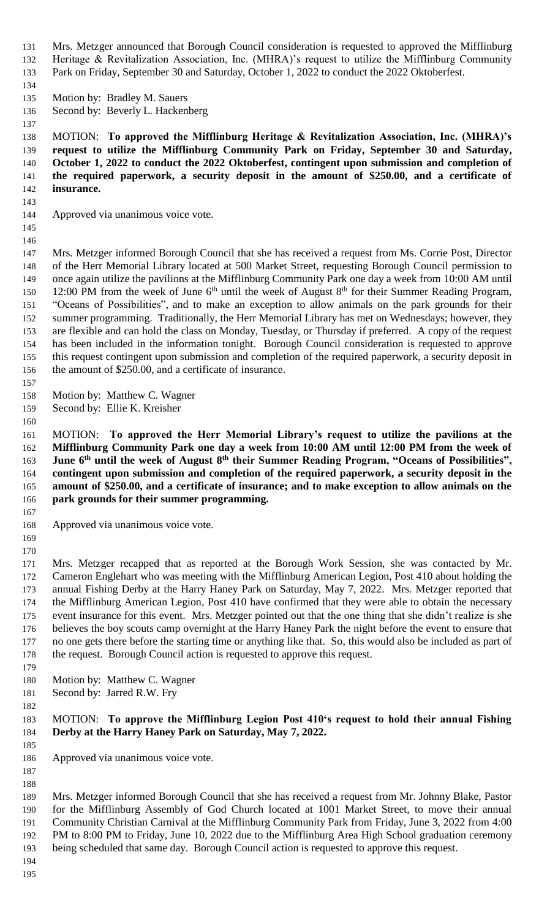- Mrs. Metzger announced that Borough Council consideration is requested to approved the Mifflinburg Heritage & Revitalization Association, Inc. (MHRA)'s request to utilize the Mifflinburg Community Park on Friday, September 30 and Saturday, October 1, 2022 to conduct the 2022 Oktoberfest.
- 
- Motion by: Bradley M. Sauers
- Second by: Beverly L. Hackenberg
- MOTION: **To approved the Mifflinburg Heritage & Revitalization Association, Inc. (MHRA)'s request to utilize the Mifflinburg Community Park on Friday, September 30 and Saturday, October 1, 2022 to conduct the 2022 Oktoberfest, contingent upon submission and completion of the required paperwork, a security deposit in the amount of \$250.00, and a certificate of insurance.**
- 
- Approved via unanimous voice vote.
- 

 Mrs. Metzger informed Borough Council that she has received a request from Ms. Corrie Post, Director of the Herr Memorial Library located at 500 Market Street, requesting Borough Council permission to once again utilize the pavilions at the Mifflinburg Community Park one day a week from 10:00 AM until 150 12:00 PM from the week of June  $6<sup>th</sup>$  until the week of August  $8<sup>th</sup>$  for their Summer Reading Program, "Oceans of Possibilities", and to make an exception to allow animals on the park grounds for their summer programming. Traditionally, the Herr Memorial Library has met on Wednesdays; however, they are flexible and can hold the class on Monday, Tuesday, or Thursday if preferred. A copy of the request has been included in the information tonight. Borough Council consideration is requested to approve this request contingent upon submission and completion of the required paperwork, a security deposit in the amount of \$250.00, and a certificate of insurance.

- 
- Motion by: Matthew C. Wagner
- Second by: Ellie K. Kreisher
- 

 MOTION: **To approved the Herr Memorial Library's request to utilize the pavilions at the Mifflinburg Community Park one day a week from 10:00 AM until 12:00 PM from the week of June 6<sup>th</sup> until the week of August 8<sup>th</sup> their Summer Reading Program, "Oceans of Possibilities", contingent upon submission and completion of the required paperwork, a security deposit in the amount of \$250.00, and a certificate of insurance; and to make exception to allow animals on the park grounds for their summer programming.** 

- Approved via unanimous voice vote.
- 

 Mrs. Metzger recapped that as reported at the Borough Work Session, she was contacted by Mr. Cameron Englehart who was meeting with the Mifflinburg American Legion, Post 410 about holding the annual Fishing Derby at the Harry Haney Park on Saturday, May 7, 2022. Mrs. Metzger reported that the Mifflinburg American Legion, Post 410 have confirmed that they were able to obtain the necessary event insurance for this event. Mrs. Metzger pointed out that the one thing that she didn't realize is she believes the boy scouts camp overnight at the Harry Haney Park the night before the event to ensure that no one gets there before the starting time or anything like that. So, this would also be included as part of the request. Borough Council action is requested to approve this request.

Motion by: Matthew C. Wagner

Second by: Jarred R.W. Fry

## MOTION: **To approve the Mifflinburg Legion Post 410's request to hold their annual Fishing Derby at the Harry Haney Park on Saturday, May 7, 2022.**

Approved via unanimous voice vote.

 

 Mrs. Metzger informed Borough Council that she has received a request from Mr. Johnny Blake, Pastor for the Mifflinburg Assembly of God Church located at 1001 Market Street, to move their annual Community Christian Carnival at the Mifflinburg Community Park from Friday, June 3, 2022 from 4:00 PM to 8:00 PM to Friday, June 10, 2022 due to the Mifflinburg Area High School graduation ceremony being scheduled that same day. Borough Council action is requested to approve this request.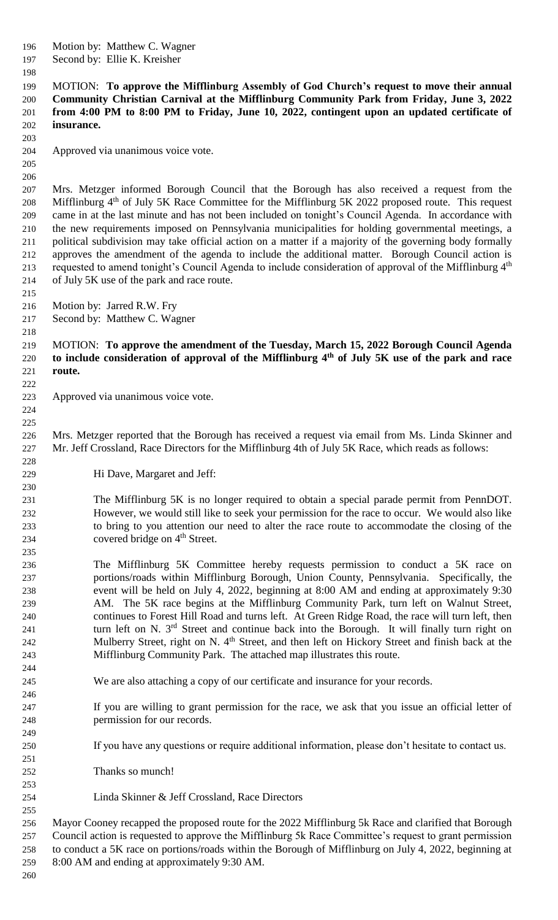- Motion by: Matthew C. Wagner
- Second by: Ellie K. Kreisher
- 

 MOTION: **To approve the Mifflinburg Assembly of God Church's request to move their annual Community Christian Carnival at the Mifflinburg Community Park from Friday, June 3, 2022 from 4:00 PM to 8:00 PM to Friday, June 10, 2022, contingent upon an updated certificate of insurance.**

- Approved via unanimous voice vote.
- 

 

 Mrs. Metzger informed Borough Council that the Borough has also received a request from the 208 Mifflinburg 4<sup>th</sup> of July 5K Race Committee for the Mifflinburg 5K 2022 proposed route. This request came in at the last minute and has not been included on tonight's Council Agenda. In accordance with the new requirements imposed on Pennsylvania municipalities for holding governmental meetings, a political subdivision may take official action on a matter if a majority of the governing body formally approves the amendment of the agenda to include the additional matter. Borough Council action is 213 requested to amend tonight's Council Agenda to include consideration of approval of the Mifflinburg 4<sup>th</sup> of July 5K use of the park and race route.

- Motion by: Jarred R.W. Fry
- Second by: Matthew C. Wagner
- MOTION: **To approve the amendment of the Tuesday, March 15, 2022 Borough Council Agenda to include consideration of approval of the Mifflinburg 4 th of July 5K use of the park and race route.**
- Approved via unanimous voice vote.
- Mrs. Metzger reported that the Borough has received a request via email from Ms. Linda Skinner and Mr. Jeff Crossland, Race Directors for the Mifflinburg 4th of July 5K Race, which reads as follows:
- Hi Dave, Margaret and Jeff:

 The Mifflinburg 5K is no longer required to obtain a special parade permit from PennDOT. However, we would still like to seek your permission for the race to occur. We would also like to bring to you attention our need to alter the race route to accommodate the closing of the 234 covered bridge on  $4<sup>th</sup>$  Street.

- The Mifflinburg 5K Committee hereby requests permission to conduct a 5K race on portions/roads within Mifflinburg Borough, Union County, Pennsylvania. Specifically, the event will be held on July 4, 2022, beginning at 8:00 AM and ending at approximately 9:30 AM. The 5K race begins at the Mifflinburg Community Park, turn left on Walnut Street, continues to Forest Hill Road and turns left. At Green Ridge Road, the race will turn left, then 241 turn left on N.  $3<sup>rd</sup>$  Street and continue back into the Borough. It will finally turn right on 242 Mulberry Street, right on N. 4<sup>th</sup> Street, and then left on Hickory Street and finish back at the Mifflinburg Community Park. The attached map illustrates this route.
- We are also attaching a copy of our certificate and insurance for your records.
- If you are willing to grant permission for the race, we ask that you issue an official letter of permission for our records.
- If you have any questions or require additional information, please don't hesitate to contact us.
- Thanks so munch!
- Linda Skinner & Jeff Crossland, Race Directors

 Mayor Cooney recapped the proposed route for the 2022 Mifflinburg 5k Race and clarified that Borough Council action is requested to approve the Mifflinburg 5k Race Committee's request to grant permission to conduct a 5K race on portions/roads within the Borough of Mifflinburg on July 4, 2022, beginning at 8:00 AM and ending at approximately 9:30 AM.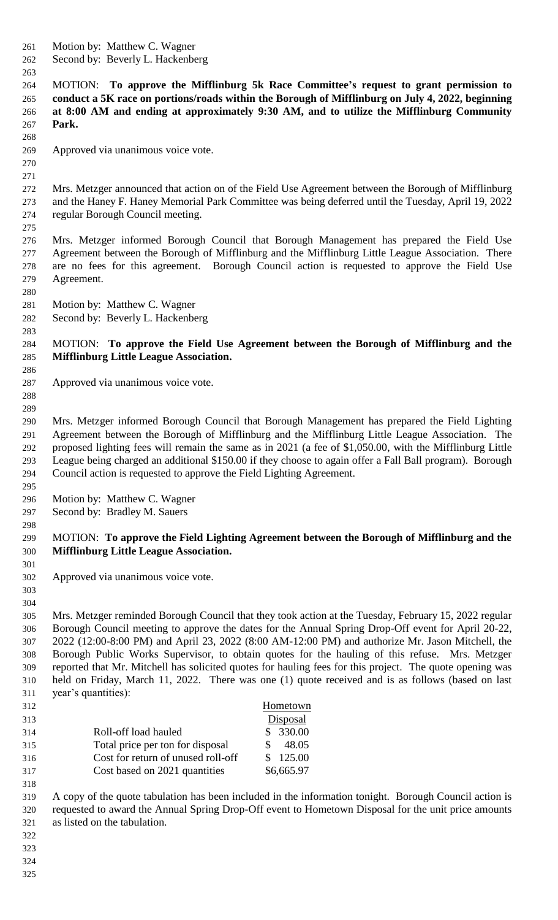Motion by: Matthew C. Wagner

Second by: Beverly L. Hackenberg

 MOTION: **To approve the Mifflinburg 5k Race Committee's request to grant permission to conduct a 5K race on portions/roads within the Borough of Mifflinburg on July 4, 2022, beginning at 8:00 AM and ending at approximately 9:30 AM, and to utilize the Mifflinburg Community Park.**

Approved via unanimous voice vote.

 

 Mrs. Metzger announced that action on of the Field Use Agreement between the Borough of Mifflinburg and the Haney F. Haney Memorial Park Committee was being deferred until the Tuesday, April 19, 2022 regular Borough Council meeting.

 Mrs. Metzger informed Borough Council that Borough Management has prepared the Field Use Agreement between the Borough of Mifflinburg and the Mifflinburg Little League Association. There are no fees for this agreement. Borough Council action is requested to approve the Field Use Agreement.

 Motion by: Matthew C. Wagner

Second by: Beverly L. Hackenberg

 MOTION: **To approve the Field Use Agreement between the Borough of Mifflinburg and the Mifflinburg Little League Association.**

Approved via unanimous voice vote.

 

 Mrs. Metzger informed Borough Council that Borough Management has prepared the Field Lighting Agreement between the Borough of Mifflinburg and the Mifflinburg Little League Association. The proposed lighting fees will remain the same as in 2021 (a fee of \$1,050.00, with the Mifflinburg Little League being charged an additional \$150.00 if they choose to again offer a Fall Ball program). Borough Council action is requested to approve the Field Lighting Agreement.

Motion by: Matthew C. Wagner

Second by: Bradley M. Sauers

# MOTION: **To approve the Field Lighting Agreement between the Borough of Mifflinburg and the Mifflinburg Little League Association.**

 Approved via unanimous voice vote.

 Mrs. Metzger reminded Borough Council that they took action at the Tuesday, February 15, 2022 regular Borough Council meeting to approve the dates for the Annual Spring Drop-Off event for April 20-22, 2022 (12:00-8:00 PM) and April 23, 2022 (8:00 AM-12:00 PM) and authorize Mr. Jason Mitchell, the Borough Public Works Supervisor, to obtain quotes for the hauling of this refuse. Mrs. Metzger reported that Mr. Mitchell has solicited quotes for hauling fees for this project. The quote opening was held on Friday, March 11, 2022. There was one (1) quote received and is as follows (based on last year's quantities):

| 312 |                                    | Hometown   |
|-----|------------------------------------|------------|
| 313 |                                    | Disposal   |
| 314 | Roll-off load hauled               | \$330.00   |
| 315 | Total price per ton for disposal   | 48.05      |
| 316 | Cost for return of unused roll-off | \$125.00   |
| 317 | Cost based on 2021 quantities      | \$6,665.97 |

 A copy of the quote tabulation has been included in the information tonight. Borough Council action is requested to award the Annual Spring Drop-Off event to Hometown Disposal for the unit price amounts as listed on the tabulation.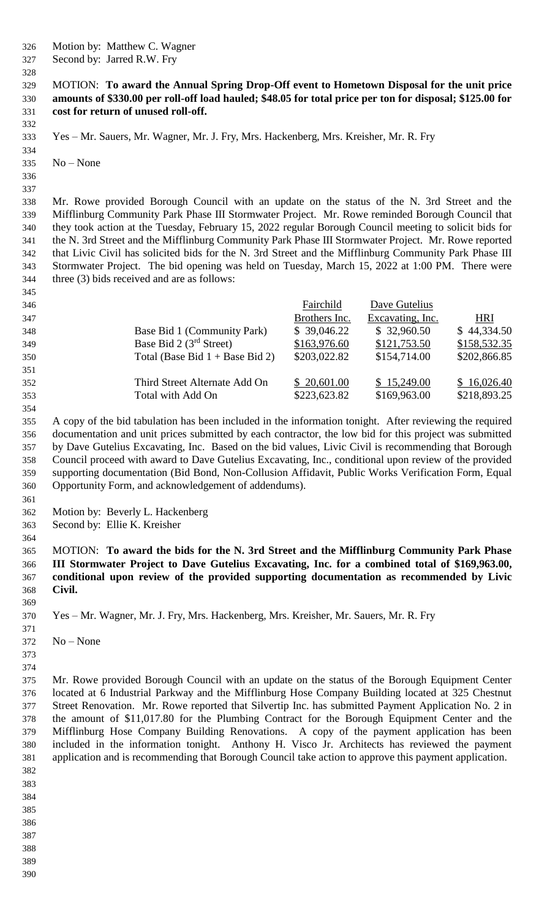- Motion by: Matthew C. Wagner
- Second by: Jarred R.W. Fry
- 

#### MOTION: **To award the Annual Spring Drop-Off event to Hometown Disposal for the unit price amounts of \$330.00 per roll-off load hauled; \$48.05 for total price per ton for disposal; \$125.00 for cost for return of unused roll-off.**

- Yes Mr. Sauers, Mr. Wagner, Mr. J. Fry, Mrs. Hackenberg, Mrs. Kreisher, Mr. R. Fry
- No None
- 

 Mr. Rowe provided Borough Council with an update on the status of the N. 3rd Street and the Mifflinburg Community Park Phase III Stormwater Project. Mr. Rowe reminded Borough Council that they took action at the Tuesday, February 15, 2022 regular Borough Council meeting to solicit bids for the N. 3rd Street and the Mifflinburg Community Park Phase III Stormwater Project. Mr. Rowe reported that Livic Civil has solicited bids for the N. 3rd Street and the Mifflinburg Community Park Phase III Stormwater Project. The bid opening was held on Tuesday, March 15, 2022 at 1:00 PM. There were three (3) bids received and are as follows:

| 346 |                                   | Fairchild     | Dave Gutelius    |              |
|-----|-----------------------------------|---------------|------------------|--------------|
| 347 |                                   | Brothers Inc. | Excavating, Inc. | <b>HRI</b>   |
| 348 | Base Bid 1 (Community Park)       | \$39,046.22   | \$32,960.50      | \$44,334.50  |
| 349 | Base Bid 2 $(3rd Street)$         | \$163,976.60  | \$121,753.50     | \$158,532.35 |
| 350 | Total (Base Bid $1 +$ Base Bid 2) | \$203,022.82  | \$154,714.00     | \$202,866.85 |
| 351 |                                   |               |                  |              |
| 352 | Third Street Alternate Add On     | \$20,601.00   | \$15,249.00      | \$16,026.40  |
| 353 | Total with Add On                 | \$223,623.82  | \$169,963.00     | \$218,893.25 |
| 354 |                                   |               |                  |              |

 A copy of the bid tabulation has been included in the information tonight. After reviewing the required documentation and unit prices submitted by each contractor, the low bid for this project was submitted by Dave Gutelius Excavating, Inc. Based on the bid values, Livic Civil is recommending that Borough Council proceed with award to Dave Gutelius Excavating, Inc., conditional upon review of the provided supporting documentation (Bid Bond, Non-Collusion Affidavit, Public Works Verification Form, Equal Opportunity Form, and acknowledgement of addendums).

- Motion by: Beverly L. Hackenberg
- Second by: Ellie K. Kreisher
- 

 MOTION: **To award the bids for the N. 3rd Street and the Mifflinburg Community Park Phase III Stormwater Project to Dave Gutelius Excavating, Inc. for a combined total of \$169,963.00, conditional upon review of the provided supporting documentation as recommended by Livic Civil.** 

- No – None
- 
- 

 Mr. Rowe provided Borough Council with an update on the status of the Borough Equipment Center located at 6 Industrial Parkway and the Mifflinburg Hose Company Building located at 325 Chestnut Street Renovation. Mr. Rowe reported that Silvertip Inc. has submitted Payment Application No. 2 in the amount of \$11,017.80 for the Plumbing Contract for the Borough Equipment Center and the Mifflinburg Hose Company Building Renovations. A copy of the payment application has been included in the information tonight. Anthony H. Visco Jr. Architects has reviewed the payment application and is recommending that Borough Council take action to approve this payment application.

- 
- 
- 
- 
- 
- 
- 

Yes – Mr. Wagner, Mr. J. Fry, Mrs. Hackenberg, Mrs. Kreisher, Mr. Sauers, Mr. R. Fry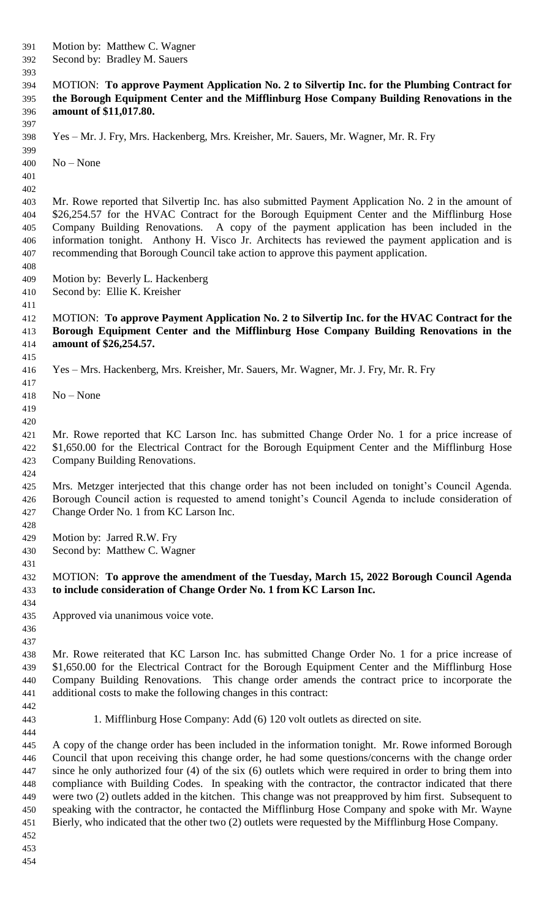Motion by: Matthew C. Wagner

 Second by: Bradley M. Sauers 

## MOTION: **To approve Payment Application No. 2 to Silvertip Inc. for the Plumbing Contract for the Borough Equipment Center and the Mifflinburg Hose Company Building Renovations in the amount of \$11,017.80.**

Yes – Mr. J. Fry, Mrs. Hackenberg, Mrs. Kreisher, Mr. Sauers, Mr. Wagner, Mr. R. Fry

No – None

 

 Mr. Rowe reported that Silvertip Inc. has also submitted Payment Application No. 2 in the amount of \$26,254.57 for the HVAC Contract for the Borough Equipment Center and the Mifflinburg Hose Company Building Renovations. A copy of the payment application has been included in the information tonight. Anthony H. Visco Jr. Architects has reviewed the payment application and is recommending that Borough Council take action to approve this payment application.

- Motion by: Beverly L. Hackenberg
- Second by: Ellie K. Kreisher
- 

 MOTION: **To approve Payment Application No. 2 to Silvertip Inc. for the HVAC Contract for the Borough Equipment Center and the Mifflinburg Hose Company Building Renovations in the amount of \$26,254.57.** 

- Yes Mrs. Hackenberg, Mrs. Kreisher, Mr. Sauers, Mr. Wagner, Mr. J. Fry, Mr. R. Fry
- No None
- 

 Mr. Rowe reported that KC Larson Inc. has submitted Change Order No. 1 for a price increase of \$1,650.00 for the Electrical Contract for the Borough Equipment Center and the Mifflinburg Hose Company Building Renovations.

 Mrs. Metzger interjected that this change order has not been included on tonight's Council Agenda. Borough Council action is requested to amend tonight's Council Agenda to include consideration of Change Order No. 1 from KC Larson Inc.

Motion by: Jarred R.W. Fry

Second by: Matthew C. Wagner

 MOTION: **To approve the amendment of the Tuesday, March 15, 2022 Borough Council Agenda to include consideration of Change Order No. 1 from KC Larson Inc.**

 Approved via unanimous voice vote.

 

 Mr. Rowe reiterated that KC Larson Inc. has submitted Change Order No. 1 for a price increase of 439 \$1,650.00 for the Electrical Contract for the Borough Equipment Center and the Mifflinburg Hose Company Building Renovations. This change order amends the contract price to incorporate the additional costs to make the following changes in this contract:

1. Mifflinburg Hose Company: Add (6) 120 volt outlets as directed on site.

 A copy of the change order has been included in the information tonight. Mr. Rowe informed Borough Council that upon receiving this change order, he had some questions/concerns with the change order since he only authorized four (4) of the six (6) outlets which were required in order to bring them into compliance with Building Codes. In speaking with the contractor, the contractor indicated that there were two (2) outlets added in the kitchen. This change was not preapproved by him first. Subsequent to speaking with the contractor, he contacted the Mifflinburg Hose Company and spoke with Mr. Wayne Bierly, who indicated that the other two (2) outlets were requested by the Mifflinburg Hose Company.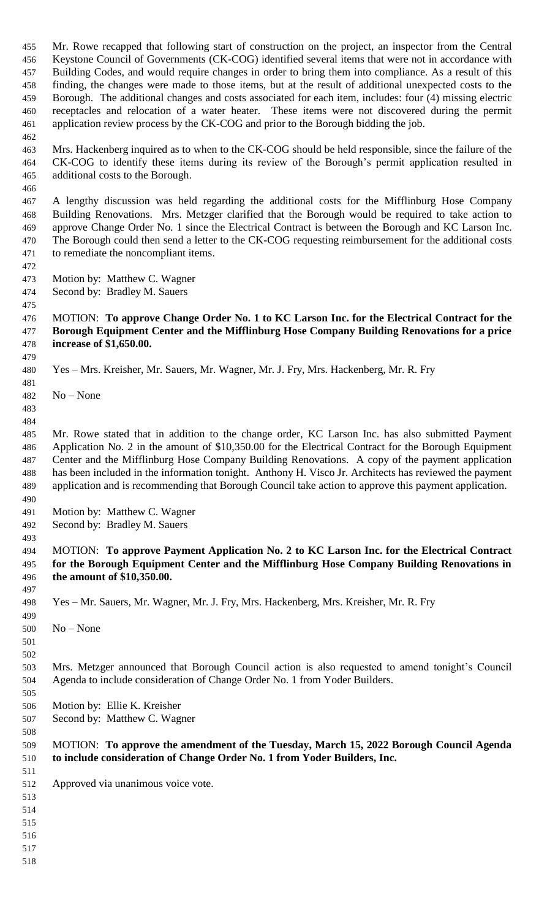Mr. Rowe recapped that following start of construction on the project, an inspector from the Central Keystone Council of Governments (CK-COG) identified several items that were not in accordance with Building Codes, and would require changes in order to bring them into compliance. As a result of this finding, the changes were made to those items, but at the result of additional unexpected costs to the Borough. The additional changes and costs associated for each item, includes: four (4) missing electric receptacles and relocation of a water heater. These items were not discovered during the permit application review process by the CK-COG and prior to the Borough bidding the job.

 Mrs. Hackenberg inquired as to when to the CK-COG should be held responsible, since the failure of the CK-COG to identify these items during its review of the Borough's permit application resulted in additional costs to the Borough.

 A lengthy discussion was held regarding the additional costs for the Mifflinburg Hose Company Building Renovations. Mrs. Metzger clarified that the Borough would be required to take action to approve Change Order No. 1 since the Electrical Contract is between the Borough and KC Larson Inc. The Borough could then send a letter to the CK-COG requesting reimbursement for the additional costs to remediate the noncompliant items.

 Motion by: Matthew C. Wagner

Second by: Bradley M. Sauers

#### MOTION: **To approve Change Order No. 1 to KC Larson Inc. for the Electrical Contract for the Borough Equipment Center and the Mifflinburg Hose Company Building Renovations for a price increase of \$1,650.00.**

Yes – Mrs. Kreisher, Mr. Sauers, Mr. Wagner, Mr. J. Fry, Mrs. Hackenberg, Mr. R. Fry

- No None
- 

 Mr. Rowe stated that in addition to the change order, KC Larson Inc. has also submitted Payment Application No. 2 in the amount of \$10,350.00 for the Electrical Contract for the Borough Equipment Center and the Mifflinburg Hose Company Building Renovations. A copy of the payment application has been included in the information tonight. Anthony H. Visco Jr. Architects has reviewed the payment application and is recommending that Borough Council take action to approve this payment application.

Motion by: Matthew C. Wagner

Second by: Bradley M. Sauers

## MOTION: **To approve Payment Application No. 2 to KC Larson Inc. for the Electrical Contract for the Borough Equipment Center and the Mifflinburg Hose Company Building Renovations in the amount of \$10,350.00.**

Yes – Mr. Sauers, Mr. Wagner, Mr. J. Fry, Mrs. Hackenberg, Mrs. Kreisher, Mr. R. Fry

 No – None

 

 Mrs. Metzger announced that Borough Council action is also requested to amend tonight's Council Agenda to include consideration of Change Order No. 1 from Yoder Builders.

 Motion by: Ellie K. Kreisher

Second by: Matthew C. Wagner

## MOTION: **To approve the amendment of the Tuesday, March 15, 2022 Borough Council Agenda to include consideration of Change Order No. 1 from Yoder Builders, Inc.**

Approved via unanimous voice vote.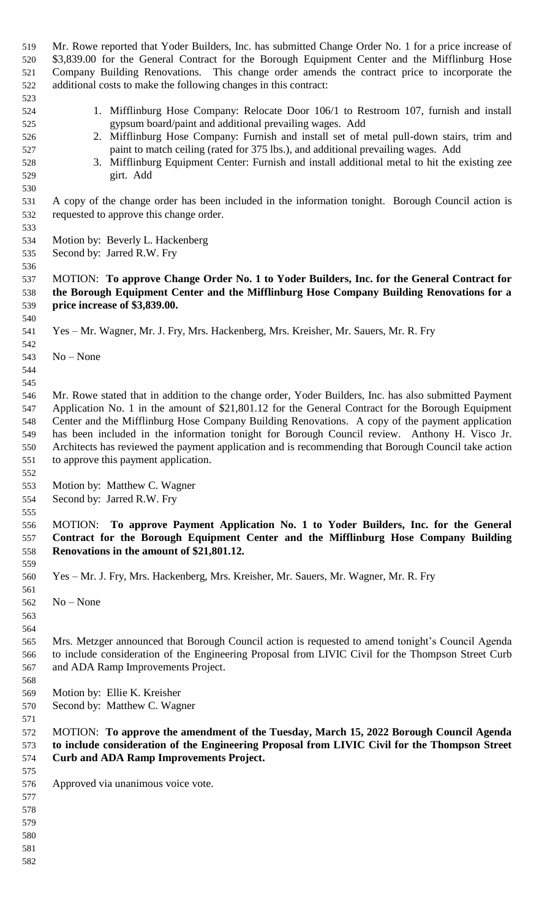Mr. Rowe reported that Yoder Builders, Inc. has submitted Change Order No. 1 for a price increase of \$3,839.00 for the General Contract for the Borough Equipment Center and the Mifflinburg Hose Company Building Renovations. This change order amends the contract price to incorporate the additional costs to make the following changes in this contract: 1. Mifflinburg Hose Company: Relocate Door 106/1 to Restroom 107, furnish and install gypsum board/paint and additional prevailing wages. Add 2. Mifflinburg Hose Company: Furnish and install set of metal pull-down stairs, trim and paint to match ceiling (rated for 375 lbs.), and additional prevailing wages. Add 3. Mifflinburg Equipment Center: Furnish and install additional metal to hit the existing zee girt. Add A copy of the change order has been included in the information tonight. Borough Council action is requested to approve this change order. Motion by: Beverly L. Hackenberg Second by: Jarred R.W. Fry MOTION: **To approve Change Order No. 1 to Yoder Builders, Inc. for the General Contract for the Borough Equipment Center and the Mifflinburg Hose Company Building Renovations for a price increase of \$3,839.00.** Yes – Mr. Wagner, Mr. J. Fry, Mrs. Hackenberg, Mrs. Kreisher, Mr. Sauers, Mr. R. Fry No – None Mr. Rowe stated that in addition to the change order, Yoder Builders, Inc. has also submitted Payment Application No. 1 in the amount of \$21,801.12 for the General Contract for the Borough Equipment Center and the Mifflinburg Hose Company Building Renovations. A copy of the payment application has been included in the information tonight for Borough Council review. Anthony H. Visco Jr. Architects has reviewed the payment application and is recommending that Borough Council take action to approve this payment application. Motion by: Matthew C. Wagner Second by: Jarred R.W. Fry MOTION: **To approve Payment Application No. 1 to Yoder Builders, Inc. for the General Contract for the Borough Equipment Center and the Mifflinburg Hose Company Building Renovations in the amount of \$21,801.12.**  Yes – Mr. J. Fry, Mrs. Hackenberg, Mrs. Kreisher, Mr. Sauers, Mr. Wagner, Mr. R. Fry No – None Mrs. Metzger announced that Borough Council action is requested to amend tonight's Council Agenda to include consideration of the Engineering Proposal from LIVIC Civil for the Thompson Street Curb and ADA Ramp Improvements Project. Motion by: Ellie K. Kreisher Second by: Matthew C. Wagner MOTION: **To approve the amendment of the Tuesday, March 15, 2022 Borough Council Agenda to include consideration of the Engineering Proposal from LIVIC Civil for the Thompson Street Curb and ADA Ramp Improvements Project.** Approved via unanimous voice vote.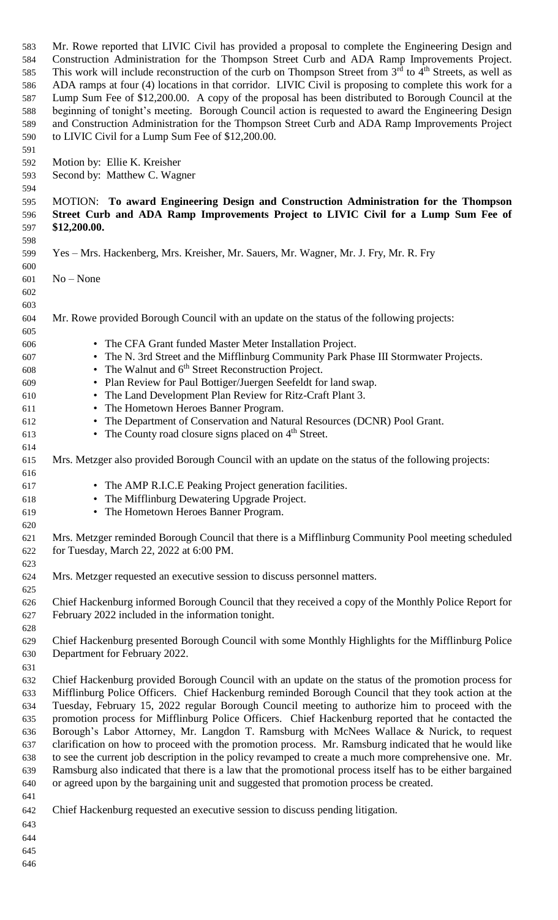Mr. Rowe reported that LIVIC Civil has provided a proposal to complete the Engineering Design and Construction Administration for the Thompson Street Curb and ADA Ramp Improvements Project. This work will include reconstruction of the curb on Thompson Street from  $3<sup>rd</sup>$  to  $4<sup>th</sup>$  Streets, as well as ADA ramps at four (4) locations in that corridor. LIVIC Civil is proposing to complete this work for a Lump Sum Fee of \$12,200.00. A copy of the proposal has been distributed to Borough Council at the beginning of tonight's meeting. Borough Council action is requested to award the Engineering Design and Construction Administration for the Thompson Street Curb and ADA Ramp Improvements Project to LIVIC Civil for a Lump Sum Fee of \$12,200.00. 

- Motion by: Ellie K. Kreisher
- Second by: Matthew C. Wagner

 MOTION: **To award Engineering Design and Construction Administration for the Thompson Street Curb and ADA Ramp Improvements Project to LIVIC Civil for a Lump Sum Fee of \$12,200.00.** 

- Yes Mrs. Hackenberg, Mrs. Kreisher, Mr. Sauers, Mr. Wagner, Mr. J. Fry, Mr. R. Fry
- No None
- 

- Mr. Rowe provided Borough Council with an update on the status of the following projects:
- 

- The CFA Grant funded Master Meter Installation Project.
- The N. 3rd Street and the Mifflinburg Community Park Phase III Stormwater Projects.
- $\bullet$  The Walnut and  $6<sup>th</sup>$  Street Reconstruction Project.
- Plan Review for Paul Bottiger/Juergen Seefeldt for land swap.
- The Land Development Plan Review for Ritz-Craft Plant 3.
- The Hometown Heroes Banner Program.
- The Department of Conservation and Natural Resources (DCNR) Pool Grant.
- 613 The County road closure signs placed on 4<sup>th</sup> Street.
- Mrs. Metzger also provided Borough Council with an update on the status of the following projects:
- The AMP R.I.C.E Peaking Project generation facilities.
- The Mifflinburg Dewatering Upgrade Project.
- The Hometown Heroes Banner Program.

 Mrs. Metzger reminded Borough Council that there is a Mifflinburg Community Pool meeting scheduled for Tuesday, March 22, 2022 at 6:00 PM.

Mrs. Metzger requested an executive session to discuss personnel matters.

 Chief Hackenburg informed Borough Council that they received a copy of the Monthly Police Report for February 2022 included in the information tonight.

 Chief Hackenburg presented Borough Council with some Monthly Highlights for the Mifflinburg Police Department for February 2022.

 Chief Hackenburg provided Borough Council with an update on the status of the promotion process for Mifflinburg Police Officers. Chief Hackenburg reminded Borough Council that they took action at the Tuesday, February 15, 2022 regular Borough Council meeting to authorize him to proceed with the promotion process for Mifflinburg Police Officers. Chief Hackenburg reported that he contacted the Borough's Labor Attorney, Mr. Langdon T. Ramsburg with McNees Wallace & Nurick, to request clarification on how to proceed with the promotion process. Mr. Ramsburg indicated that he would like to see the current job description in the policy revamped to create a much more comprehensive one. Mr. Ramsburg also indicated that there is a law that the promotional process itself has to be either bargained or agreed upon by the bargaining unit and suggested that promotion process be created.

Chief Hackenburg requested an executive session to discuss pending litigation.

- 
-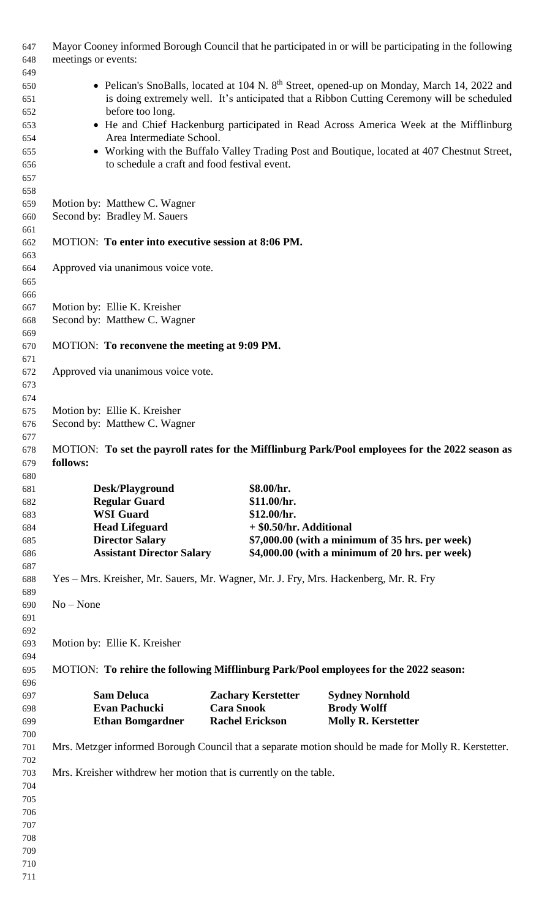| 647<br>648<br>649                      | Mayor Cooney informed Borough Council that he participated in or will be participating in the following<br>meetings or events:                                                                                            |                                                                                                                                              |                                                                                                      |                                                                                                      |  |  |
|----------------------------------------|---------------------------------------------------------------------------------------------------------------------------------------------------------------------------------------------------------------------------|----------------------------------------------------------------------------------------------------------------------------------------------|------------------------------------------------------------------------------------------------------|------------------------------------------------------------------------------------------------------|--|--|
| 650<br>651<br>652                      | • Pelican's SnoBalls, located at 104 N. 8 <sup>th</sup> Street, opened-up on Monday, March 14, 2022 and<br>is doing extremely well. It's anticipated that a Ribbon Cutting Ceremony will be scheduled<br>before too long. |                                                                                                                                              |                                                                                                      |                                                                                                      |  |  |
| 653<br>654                             | Area Intermediate School.                                                                                                                                                                                                 | • He and Chief Hackenburg participated in Read Across America Week at the Mifflinburg                                                        |                                                                                                      |                                                                                                      |  |  |
| 655<br>656<br>657<br>658               |                                                                                                                                                                                                                           | • Working with the Buffalo Valley Trading Post and Boutique, located at 407 Chestnut Street,<br>to schedule a craft and food festival event. |                                                                                                      |                                                                                                      |  |  |
| 659<br>660                             | Motion by: Matthew C. Wagner<br>Second by: Bradley M. Sauers                                                                                                                                                              |                                                                                                                                              |                                                                                                      |                                                                                                      |  |  |
| 661<br>662<br>663                      |                                                                                                                                                                                                                           | MOTION: To enter into executive session at 8:06 PM.                                                                                          |                                                                                                      |                                                                                                      |  |  |
| 664<br>665<br>666                      | Approved via unanimous voice vote.                                                                                                                                                                                        |                                                                                                                                              |                                                                                                      |                                                                                                      |  |  |
| 667                                    | Motion by: Ellie K. Kreisher                                                                                                                                                                                              |                                                                                                                                              |                                                                                                      |                                                                                                      |  |  |
| 668<br>669                             |                                                                                                                                                                                                                           | Second by: Matthew C. Wagner                                                                                                                 |                                                                                                      |                                                                                                      |  |  |
| 670<br>671                             | MOTION: To reconvene the meeting at 9:09 PM.                                                                                                                                                                              |                                                                                                                                              |                                                                                                      |                                                                                                      |  |  |
| 672<br>673<br>674                      | Approved via unanimous voice vote.                                                                                                                                                                                        |                                                                                                                                              |                                                                                                      |                                                                                                      |  |  |
| 675                                    | Motion by: Ellie K. Kreisher                                                                                                                                                                                              |                                                                                                                                              |                                                                                                      |                                                                                                      |  |  |
| 676<br>677                             | Second by: Matthew C. Wagner                                                                                                                                                                                              |                                                                                                                                              |                                                                                                      |                                                                                                      |  |  |
| 678                                    |                                                                                                                                                                                                                           |                                                                                                                                              |                                                                                                      | MOTION: To set the payroll rates for the Mifflinburg Park/Pool employees for the 2022 season as      |  |  |
| 679<br>680                             | follows:                                                                                                                                                                                                                  |                                                                                                                                              |                                                                                                      |                                                                                                      |  |  |
| 681                                    | Desk/Playground                                                                                                                                                                                                           |                                                                                                                                              | \$8.00/hr.                                                                                           |                                                                                                      |  |  |
| 682                                    | <b>Regular Guard</b>                                                                                                                                                                                                      |                                                                                                                                              | \$11.00/hr.                                                                                          |                                                                                                      |  |  |
| 683                                    | <b>WSI</b> Guard                                                                                                                                                                                                          |                                                                                                                                              | \$12.00/hr.                                                                                          |                                                                                                      |  |  |
| 684                                    | <b>Head Lifeguard</b>                                                                                                                                                                                                     |                                                                                                                                              | + \$0.50/hr. Additional                                                                              |                                                                                                      |  |  |
| 685<br>686<br>687                      | <b>Director Salary</b><br><b>Assistant Director Salary</b>                                                                                                                                                                |                                                                                                                                              | $$7,000.00$ (with a minimum of 35 hrs. per week)<br>$$4,000.00$ (with a minimum of 20 hrs. per week) |                                                                                                      |  |  |
| 688<br>689                             | Yes – Mrs. Kreisher, Mr. Sauers, Mr. Wagner, Mr. J. Fry, Mrs. Hackenberg, Mr. R. Fry                                                                                                                                      |                                                                                                                                              |                                                                                                      |                                                                                                      |  |  |
| 690<br>691<br>692                      | $No - None$                                                                                                                                                                                                               |                                                                                                                                              |                                                                                                      |                                                                                                      |  |  |
| 693<br>694                             | Motion by: Ellie K. Kreisher                                                                                                                                                                                              |                                                                                                                                              |                                                                                                      |                                                                                                      |  |  |
| 695<br>696                             |                                                                                                                                                                                                                           |                                                                                                                                              |                                                                                                      | MOTION: To rehire the following Mifflinburg Park/Pool employees for the 2022 season:                 |  |  |
| 697                                    | <b>Sam Deluca</b>                                                                                                                                                                                                         |                                                                                                                                              | <b>Zachary Kerstetter</b>                                                                            | <b>Sydney Nornhold</b>                                                                               |  |  |
| 698<br>699                             | <b>Evan Pachucki</b><br><b>Ethan Bomgardner</b>                                                                                                                                                                           | <b>Cara Snook</b>                                                                                                                            | <b>Rachel Erickson</b>                                                                               | <b>Brody Wolff</b><br><b>Molly R. Kerstetter</b>                                                     |  |  |
| 700<br>701<br>702                      |                                                                                                                                                                                                                           |                                                                                                                                              |                                                                                                      | Mrs. Metzger informed Borough Council that a separate motion should be made for Molly R. Kerstetter. |  |  |
| 703<br>704<br>705<br>706<br>707<br>708 | Mrs. Kreisher withdrew her motion that is currently on the table.                                                                                                                                                         |                                                                                                                                              |                                                                                                      |                                                                                                      |  |  |
| 709<br>710                             |                                                                                                                                                                                                                           |                                                                                                                                              |                                                                                                      |                                                                                                      |  |  |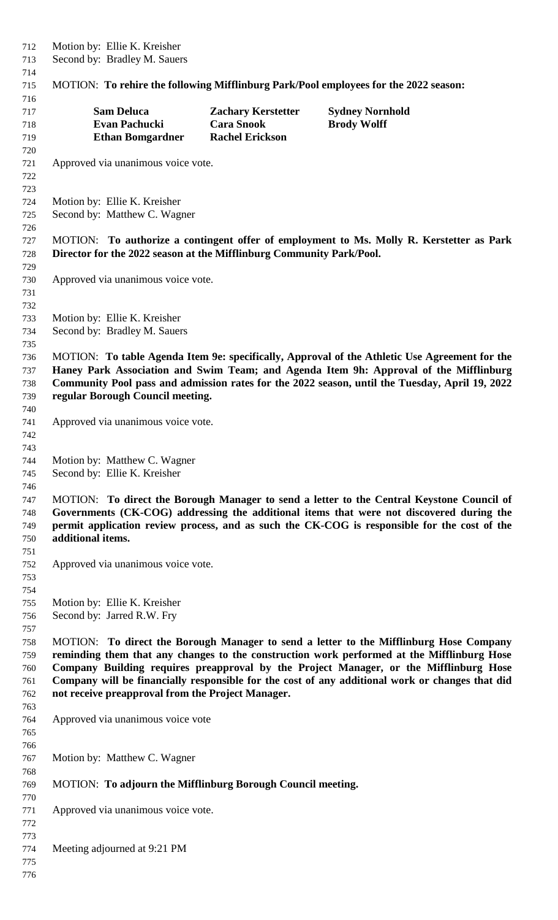Motion by: Ellie K. Kreisher Second by: Bradley M. Sauers MOTION: **To rehire the following Mifflinburg Park/Pool employees for the 2022 season: Sam Deluca Zachary Kerstetter Sydney Nornhold Evan Pachucki Cara Snook Brody Wolff Ethan Bomgardner Rachel Erickson** Approved via unanimous voice vote. Motion by: Ellie K. Kreisher Second by: Matthew C. Wagner MOTION: **To authorize a contingent offer of employment to Ms. Molly R. Kerstetter as Park Director for the 2022 season at the Mifflinburg Community Park/Pool.** Approved via unanimous voice vote. Motion by: Ellie K. Kreisher Second by: Bradley M. Sauers MOTION: **To table Agenda Item 9e: specifically, Approval of the Athletic Use Agreement for the Haney Park Association and Swim Team; and Agenda Item 9h: Approval of the Mifflinburg Community Pool pass and admission rates for the 2022 season, until the Tuesday, April 19, 2022 regular Borough Council meeting.** Approved via unanimous voice vote. Motion by: Matthew C. Wagner Second by: Ellie K. Kreisher MOTION: **To direct the Borough Manager to send a letter to the Central Keystone Council of Governments (CK-COG) addressing the additional items that were not discovered during the permit application review process, and as such the CK-COG is responsible for the cost of the additional items.** Approved via unanimous voice vote. Motion by: Ellie K. Kreisher Second by: Jarred R.W. Fry MOTION: **To direct the Borough Manager to send a letter to the Mifflinburg Hose Company reminding them that any changes to the construction work performed at the Mifflinburg Hose Company Building requires preapproval by the Project Manager, or the Mifflinburg Hose Company will be financially responsible for the cost of any additional work or changes that did not receive preapproval from the Project Manager.**  Approved via unanimous voice vote Motion by: Matthew C. Wagner MOTION: **To adjourn the Mifflinburg Borough Council meeting.** Approved via unanimous voice vote. Meeting adjourned at 9:21 PM